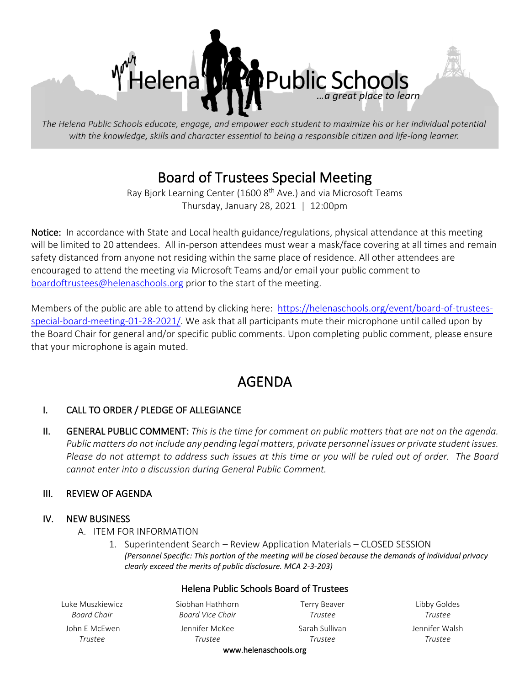

The Helena Public Schools educate, engage, and empower each student to maximize his or her individual potential with the knowledge, skills and character essential to being a responsible citizen and life-long learner.

# Board of Trustees Special Meeting<br>Ray Bjork Learning Center (1600 8<sup>th</sup> Ave.) and via Microsoft Teams

Thursday, January 28, 2021 | 12:00pm

Notice: In accordance with State and Local health guidance/regulations, physical attendance at this meeting will be limited to 20 attendees. All in-person attendees must wear a mask/face covering at all times and remain safety distanced from anyone not residing within the same place of residence. All other attendees are encouraged to attend the meeting via Microsoft Teams and/or email your public comment to [boardoftrustees@helenaschools.org](mailto:boardoftrustees@helenaschools.org) prior to the start of the meeting.

Members of the public are able to attend by clicking here: [https://helenaschools.org/event/board-of-trustees](https://helenaschools.org/event/board-of-trustees-special-board-meeting-01-28-2021/)[special-board-meeting-01-28-2021/.](https://helenaschools.org/event/board-of-trustees-special-board-meeting-01-28-2021/) We ask that all participants mute their microphone until called upon by the Board Chair for general and/or specific public comments. Upon completing public comment, please ensure that your microphone is again muted.  

# AGENDA

## I. CALL TO ORDER / PLEDGE OF ALLEGIANCE

II. GENERAL PUBLIC COMMENT: *This is the time for comment on public matters that are not on the agenda. Public matters do not include any pending legal matters, private personnel issues or private student issues. Please do not attempt to address such issues at this time or you will be ruled out of order. The Board cannot enter into a discussion during General Public Comment.*

#### III. REVIEW OF AGENDA

#### IV. NEW BUSINESS

- A. ITEM FOR INFORMATION
	- 1. Superintendent Search Review Application Materials CLOSED SESSION *(Personnel Specific: This portion of the meeting will be closed because the demands of individual privacy clearly exceed the merits of public disclosure. MCA 2-3-203)*

| <b>Helena Public Schools Board of Trustees</b> |                                      |                                |                           |
|------------------------------------------------|--------------------------------------|--------------------------------|---------------------------|
| Luke Muszkiewicz<br>Board Chair                | Siobhan Hathhorn<br>Board Vice Chair | <b>Terry Beaver</b><br>Trustee | Libby Goldes<br>Trustee   |
| John E McEwen<br>Trustee                       | Jennifer McKee<br>Trustee            | Sarah Sullivan<br>Trustee      | Jennifer Walsh<br>Trustee |
| $\sim$ $\sim$                                  |                                      |                                |                           |

www.helenaschools.org